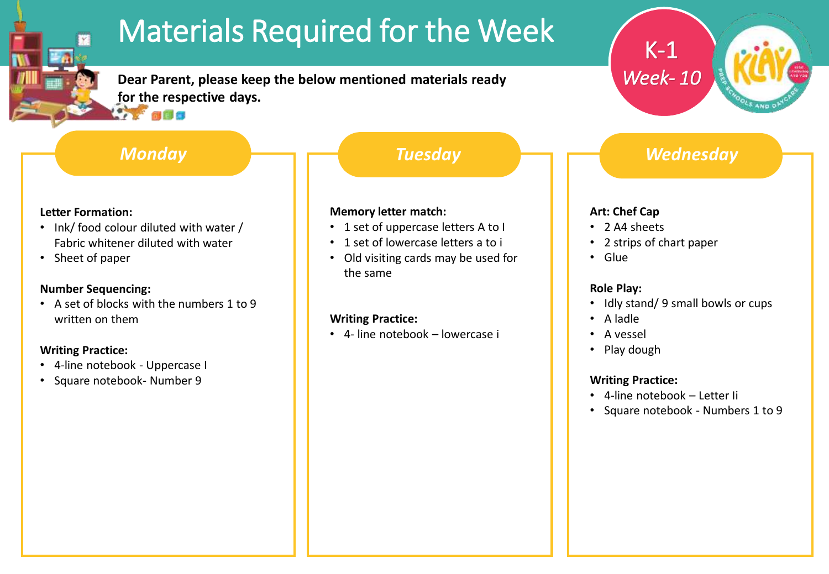# Materials Required for the Week

**Dear Parent, please keep the below mentioned materials ready for the respective days. Article** 

## *Monday Tuesday*

#### **Letter Formation:**

- Ink/ food colour diluted with water / Fabric whitener diluted with water
- Sheet of paper

#### **Number Sequencing:**

• A set of blocks with the numbers 1 to 9 written on them

### **Writing Practice:**

- 4-line notebook Uppercase I
- Square notebook- Number 9

#### **Memory letter match:**

- 1 set of uppercase letters A to I
- 1 set of lowercase letters a to i
- Old visiting cards may be used for the same

#### **Writing Practice:**

• 4- line notebook – lowercase i

# *Wednesday*

## **Art: Chef Cap**

- 2 A4 sheets
- 2 strips of chart paper

K-1

*Week- 10*

• Glue

#### **Role Play:**

- Idly stand/ 9 small bowls or cups
- A ladle
- A vessel
- Play dough

#### **Writing Practice:**

- 4-line notebook Letter Ii
- Square notebook Numbers 1 to 9